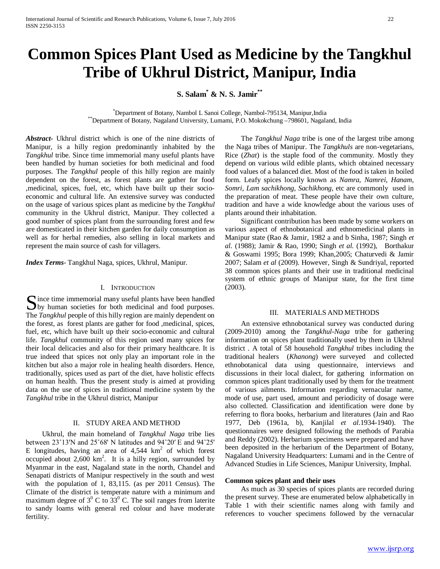# **Common Spices Plant Used as Medicine by the Tangkhul Tribe of Ukhrul District, Manipur, India**

**S. Salam\* & N. S. Jamir\*\***

\*Department of Botany, Nambol L Sanoi College, Nambol-795134, Manipur, India \*\*Department of Botany, Nagaland University, Lumami, P.O. Mokokchung –798601, Nagaland, India

*Abstract***-** Ukhrul district which is one of the nine districts of Manipur, is a hilly region predominantly inhabited by the *Tangkhul* tribe. Since time immemorial many useful plants have been handled by human societies for both medicinal and food purposes. The *Tangkhul* people of this hilly region are mainly dependent on the forest, as forest plants are gather for food ,medicinal, spices, fuel, etc, which have built up their socioeconomic and cultural life. An extensive survey was conducted on the usage of various spices plant as medicine by the *Tangkhul* community in the Ukhrul district, Manipur. They collected a good number of spices plant from the surrounding forest and few are domesticated in their kitchen garden for daily consumption as well as for herbal remedies, also selling in local markets and represent the main source of cash for villagers.

*Index Terms*- Tangkhul Naga, spices, Ukhrul, Manipur.

#### I. INTRODUCTION

ince time immemorial many useful plants have been handled Since time immemorial many useful plants have been handled<br>by human societies for both medicinal and food purposes. The *Tangkhul* people of this hilly region are mainly dependent on the forest, as forest plants are gather for food ,medicinal, spices, fuel, etc, which have built up their socio-economic and cultural life. *Tangkhul* community of this region used many spices for their local delicacies and also for their primary healthcare. It is true indeed that spices not only play an important role in the kitchen but also a major role in healing health disorders. Hence, traditionally, spices used as part of the diet, have holistic effects on human health. Thus the present study is aimed at providing data on the use of spices in traditional medicine system by the *Tangkhul* tribe in the Ukhrul district, Manipur

## II. STUDY AREA AND METHOD

 Ukhrul, the main homeland of *Tangkhul Naga* tribe lies between 23˚13'N and 25˚68' N latitudes and 94˚20′ E and 94˚25' E longitudes, having an area of  $4,544 \text{ km}^2$  of which forest occupied about  $2,600 \text{ km}^2$ . It is a hilly region, surrounded by Myanmar in the east, Nagaland state in the north, Chandel and Senapati districts of Manipur respectively in the south and west with the population of 1, 83,115. (as per 2011 Census). The Climate of the district is temperate nature with a minimum and maximum degree of  $3^{\circ}$  C to  $33^{\circ}$  C. The soil ranges from laterite to sandy loams with general red colour and have moderate fertility.

 The *Tangkhul Naga* tribe is one of the largest tribe among the Naga tribes of Manipur. The *Tangkhuls* are non-vegetarians, Rice (*Zhat*) is the staple food of the community. Mostly they depend on various wild edible plants, which obtained necessary food values of a balanced diet. Most of the food is taken in boiled form. Leafy spices locally known as *Namra, Namrei, Hanam, Somri, Lam sachikhong, Sachikhong*, etc are commonly used in the preparation of meat. These people have their own culture, tradition and have a wide knowledge about the various uses of plants around their inhabitation.

 Significant contribution has been made by some workers on various aspect of ethnobotanical and ethnomedicinal plants in Manipur state (Rao & Jamir, 1982 a and b Sinha, 1987; Singh *et al.* (1988); Jamir & Rao, 1990; Singh *et al.* (1992), Borthakur & Goswami 1995; Bora 1999; Khan,2005; Chaturvedi & Jamir 2007; Salam *et al* (2009). However, Singh & Sundriyal, reported 38 common spices plants and their use in traditional medicinal system of ethnic groups of Manipur state, for the first time (2003).

## III. MATERIALS AND METHODS

 An extensive ethnobotanical survey was conducted during (2009-2010) among the *Tangkhul-Naga* tribe for gathering information on spices plant traditionally used by them in Ukhrul district . A total of 58 household *Tangkhul* tribes including the traditional healers (*Khanong*) were surveyed and collected ethnobotanical data using questionnaire, interviews and discussions in their local dialect, for gathering information on common spices plant traditionally used by them for the treatment of various ailments. Information regarding vernacular name, mode of use, part used, amount and periodicity of dosage were also collected. Classification and identification were done by referring to flora books, herbarium and literatures (Jain and Rao 1977, Deb (1961a, b), Kanjilal *et al*.1934-1940). The questionnaires were designed following the methods of Parabia and Reddy (2002). Herbarium specimens were prepared and have been deposited in the herbarium of **t**he Department of Botany, Nagaland University Headquarters: Lumami and in the Centre of Advanced Studies in Life Sciences, Manipur University, Imphal.

## **Common spices plant and their uses**

 As much as 30 species of spices plants are recorded during the present survey. These are enumerated below alphabetically in Table 1 with their scientific names along with family and references to voucher specimens followed by the vernacular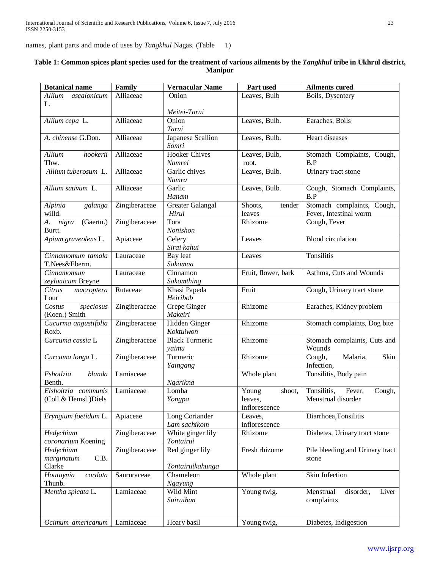names, plant parts and mode of uses by *Tangkhul* Nagas. (Table 1)

| <b>Botanical name</b>                        | Family        | <b>Vernacular Name</b>              | Part used                                   | <b>Ailments cured</b>                                 |
|----------------------------------------------|---------------|-------------------------------------|---------------------------------------------|-------------------------------------------------------|
| Allium<br>ascalonicum                        | Alliaceae     | Onion                               | Leaves, Bulb                                | Boils, Dysentery                                      |
| L.                                           |               |                                     |                                             |                                                       |
|                                              |               | Meitei-Tarui                        |                                             |                                                       |
| Allium cepa L.                               | Alliaceae     | Onion<br>Tarui                      | Leaves, Bulb.                               | Earaches, Boils                                       |
| A. chinense G.Don.                           | Alliaceae     | Japanese Scallion<br>Somri          | Leaves, Bulb.                               | Heart diseases                                        |
| Allium<br>hookerii<br>Thw.                   | Alliaceae     | <b>Hooker Chives</b><br>Namrei      | Leaves, Bulb,<br>root.                      | Stomach Complaints, Cough,<br>B.P                     |
| Allium tuberosum L.                          | Alliaceae     | Garlic chives<br>Namra              | Leaves, Bulb.                               | Urinary tract stone                                   |
| Allium sativum L.                            | Alliaceae     | Garlic<br>Hanam                     | Leaves, Bulb.                               | Cough, Stomach Complaints,<br>B.P                     |
| Alpinia<br>galanga<br>willd.                 | Zingiberaceae | Greater Galangal<br>Hirui           | Shoots,<br>tender<br>leaves                 | Stomach complaints, Cough,<br>Fever, Intestinal worm  |
| nigra<br>(Gaertn.)<br>A.<br>Burtt.           | Zingiberaceae | Tora<br>Nonishon                    | Rhizome                                     | Cough, Fever                                          |
| Apium graveolens L.                          | Apiaceae      | Celery<br>Sirai kahui               | Leaves                                      | <b>Blood</b> circulation                              |
| Cinnamomum tamala<br>T.Nees&Eberm.           | Lauraceae     | Bay leaf<br>Sakomna                 | Leaves                                      | Tonsilitis                                            |
| Cinnamomum<br>zeylanicum Breyne              | Lauraceae     | Cinnamon<br>Sakomthing              | Fruit, flower, bark                         | Asthma, Cuts and Wounds                               |
| Citrus<br>macroptera<br>Lour                 | Rutaceae      | Khasi Papeda<br>Heiribob            | Fruit                                       | Cough, Urinary tract stone                            |
| Costus<br>speciosus<br>(Koen.) Smith         | Zingiberaceae | Crepe Ginger<br>Makeiri             | Rhizome                                     | Earaches, Kidney problem                              |
| Cucurma angustifolia<br>Roxb.                | Zingiberaceae | Hidden Ginger<br>Koktuiwon          | Rhizome                                     | Stomach complaints, Dog bite                          |
| Curcuma cassia L                             | Zingiberaceae | <b>Black Turmeric</b><br>yaimu      | Rhizome                                     | Stomach complaints, Cuts and<br>Wounds                |
| Curcuma longa L.                             | Zingiberaceae | Turmeric<br>Yaingang                | Rhizome                                     | Cough,<br>Malaria,<br>Skin<br>Infection,              |
| Eshotlzia<br><b>blanda</b>                   | Lamiaceae     |                                     | Whole plant                                 | Tonsilitis, Body pain                                 |
| Benth.                                       |               | Ngarikna                            |                                             |                                                       |
| Elsholtzia communis<br>(Coll.& Hemsl.) Diels | Lamiaceae     | Lomba<br>Yongpa                     | Young<br>shoot,<br>leaves,<br>inflorescence | Tonsilitis,<br>Fever,<br>Cough,<br>Menstrual disorder |
| Eryngium foetidum L.                         | Apiaceae      | Long Coriander<br>Lam sachikom      | Leaves,<br>inflorescence                    | Diarrhoea, Tonsilitis                                 |
| Hedychium<br>coronarium Koening              | Zingiberaceae | White ginger lily<br>Tontairui      | Rhizome                                     | Diabetes, Urinary tract stone                         |
| Hedychium<br>C.B.<br>marginatum<br>Clarke    | Zingiberaceae | Red ginger lily<br>Tontairuikahunga | Fresh rhizome                               | Pile bleeding and Urinary tract<br>stone              |
| Houtuynia<br>cordata<br>Thunb.               | Saururaceae   | Chameleon<br>Ngayung                | Whole plant                                 | Skin Infection                                        |
| Mentha spicata L.                            | Lamiaceae     | Wild Mint<br>Suiruihan              | Young twig.                                 | Menstrual<br>disorder,<br>Liver<br>complaints         |
| Ocimum americanum                            | Lamiaceae     | Hoary basil                         | Young twig,                                 | Diabetes, Indigestion                                 |

## **Table 1: Common spices plant species used for the treatment of various ailments by the** *Tangkhul* **tribe in Ukhrul district, Manipur**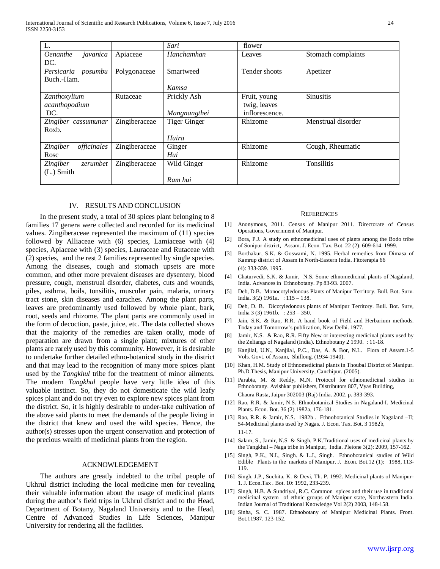| L.                          |               | Sari                | flower         |                    |
|-----------------------------|---------------|---------------------|----------------|--------------------|
| javanica<br><i>Oenanthe</i> | Apiaceae      | Hanchamhan          | Leaves         | Stomach complaints |
| DC.                         |               |                     |                |                    |
| Persicaria posumbu          | Polygonaceae  | Smartweed           | Tender shoots  | Apetizer           |
| Buch.-Ham.                  |               |                     |                |                    |
|                             |               | Kamsa               |                |                    |
| Zanthoxylium                | Rutaceae      | Prickly Ash         | Fruit, young   | <b>Sinusitis</b>   |
| acanthopodium               |               |                     | twig, leaves   |                    |
| DC.                         |               | Mangnangthei        | inflorescence. |                    |
| Zingiber cassumunar         | Zingiberaceae | <b>Tiger Ginger</b> | Rhizome        | Menstrual disorder |
| Roxb.                       |               |                     |                |                    |
|                             |               | Huira               |                |                    |
| officinales<br>Zingiber     | Zingiberaceae | Ginger              | Rhizome        | Cough, Rheumatic   |
| Rosc                        |               | Hui                 |                |                    |
| zerumbet<br><i>Zingiber</i> | Zingiberaceae | Wild Ginger         | Rhizome        | Tonsilitis         |
| $(L.)$ Smith                |               |                     |                |                    |
|                             |               | Ram hui             |                |                    |

## IV. RESULTS AND CONCLUSION

 In the present study, a total of 30 spices plant belonging to 8 families 17 genera were collected and recorded for its medicinal values. Zingiberaceae represented the maximum of (11) species followed by Alliaceae with (6) species, Lamiaceae with (4) species, Apiaceae with (3) species, Lauraceae and Rutaceae with (2) species, and the rest 2 families represented by single species. Among the diseases, cough and stomach upsets are more common, and other more prevalent diseases are dysentery, blood pressure, cough, menstrual disorder, diabetes, cuts and wounds, piles, asthma, boils, tonsilitis, muscular pain, malaria, urinary tract stone, skin diseases and earaches. Among the plant parts, leaves are predominantly used followed by whole plant, bark, root, seeds and rhizome. The plant parts are commonly used in the form of decoction, paste, juice, etc. The data collected shows that the majority of the remedies are taken orally, mode of preparation are drawn from a single plant; mixtures of other plants are rarely used by this community. However, it is desirable to undertake further detailed ethno-botanical study in the district and that may lead to the recognition of many more spices plant used by the *Tangkhul* tribe for the treatment of minor ailments. The modern *Tangkhul* people have very little idea of this valuable instinct. So, they do not domesticate the wild leafy spices plant and do not try even to explore new spices plant from the district. So, it is highly desirable to under-take cultivation of the above said plants to meet the demands of the people living in the district that knew and used the wild species. Hence, the author(s) stresses upon the urgent conservation and protection of the precious wealth of medicinal plants from the region.

## ACKNOWLEDGEMENT

 The authors are greatly indebted to the tribal people of Ukhrul district including the local medicine men for revealing their valuable information about the usage of medicinal plants during the author's field trips in Ukhrul district and to the Head, Department of Botany, Nagaland University and to the Head, Centre of Advanced Studies in Life Sciences, Manipur University for rendering all the facilities.

## **REFERENCES**

- [1] Anonymous, 2011. Census of Manipur 2011. Directorate of Census Operations, Government of Manipur.
- [2] Bora, P.J. A study on ethnomedicinal uses of plants among the Bodo tribe of Sonipur district, Assam. J. Econ. Tax. Bot. 22 (2): 609-614. 1999.
- [3] Borthakur, S.K. & Goswami, N. 1995. Herbal remedies from Dimasa of Kamrup district of Assam in North-Eastern India. Fitoterapia 66 (4): 333-339. 1995.
- [4] Chaturvedi, S.K. & Jamir, N.S. Some ethnomedicinal plants of Nagaland, India. Advances in Ethnobotany. Pp 83-93. 2007.
- [5] Deb, D.B. Monocotyledonous Plants of Manipur Territory. Bull. Bot. Surv. India. 3(2) 1961a. : 115 – 138.
- [6] Deb, D. B. Dicotyledonous plants of Manipur Territory. Bull. Bot. Surv, India 3 (3) 1961b. : 253 – 350.
- [7] Jain, S.K. & Rao, R.R. A hand book of Field and Herbarium methods. Today and Tomorrow's publication, New Delhi. 1977.
- [8] Jamir, N.S. & Rao, R.R. Fifty New or interesting medicinal plants used by the Zeliangs of Nagaland (India). Ethnobotany 2 1990. : 11-18.
- [9] Kanjilal, U.N., Kanjilal, P.C., Das, A. & Bor, N.L. Flora of Assam.1-5 Vols. Govt. of Assam, Shillong. (1934-1940).
- [10] Khan, H.M. Study of Ethnomedicinal plants in Thoubal District of Manipur. Ph.D.Thesis, Manipur University, Canchipur. (2005).
- [11] Parabia, M. & Reddy, M.N. Protocol for ethnomedicinal studies in Ethnobotany. Avishkar publishers, Distributors 807, Vyas Building, Chaura Rasta, Jaipur 302003 (Raj) India. 2002. p. 383-393.
- [12] Rao, R.R. & Jamir, N.S. Ethnobotanical Studies in Nagaland-I. Medicinal Plants. Econ. Bot. 36 (2) 1982a, 176-181.
- [13] Rao, R.R. & Jamir, N.S. 1982b . Ethnobotanical Studies in Nagaland -II; 54-Medicinal plants used by Nagas. J. Econ. Tax. Bot. 3 1982b, 11-17.
- [14] Salam, S., Jamir, N.S. & Singh, P.K.Traditional uses of medicinal plants by the Tangkhul – Naga tribe in Manipur, India. Pleione 3(2): 2009, 157-162.
- [15] Singh, P.K., N.I., Singh. & L.J., Singh. Ethnobotanical studies of Wild Edible Plants in the markets of Manipur. J. Econ. Bot.12 (1): 1988, 113- 119.
- [16] Singh, J.P., Suchita, K. & Devi, Th. P. 1992. Medicinal plants of Manipur-1. J. Econ.Tax . Bot. 10: 1992, 233-239.
- [17] Singh, H.B. & Sundriyal, R.C. Common spices and their use in traditional medicinal system of ethnic groups of Manipur state, Northeastern India. Indian Journal of Traditional Knowledge Vol 2(2) 2003, 148-158.
- [18] Sinha, S. C. 1987. Ethnobotany of Manipur Medicinal Plants. Front. Bot.11987. 123-152.